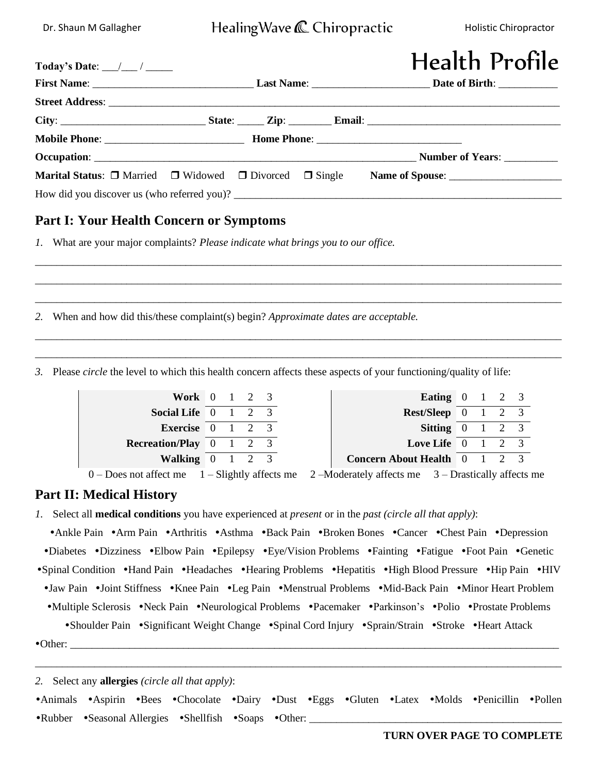# Dr. Shaun M Gallagher **Healing Wave C** Chiropractic Holistic Chiropractor

| Today's Date: $\_\_\_\_\_\_\_\_\_\_\_\_\_\_\_\_\_\_\_\_\_\_\_\_\_\_\_$ |  | <b>Health Profile</b>                                                                               |
|------------------------------------------------------------------------|--|-----------------------------------------------------------------------------------------------------|
|                                                                        |  |                                                                                                     |
|                                                                        |  |                                                                                                     |
|                                                                        |  |                                                                                                     |
|                                                                        |  |                                                                                                     |
|                                                                        |  |                                                                                                     |
|                                                                        |  | Marital Status: □ Married □ Widowed □ Divorced □ Single Name of Spouse: ___________________________ |
|                                                                        |  |                                                                                                     |

\_\_\_\_\_\_\_\_\_\_\_\_\_\_\_\_\_\_\_\_\_\_\_\_\_\_\_\_\_\_\_\_\_\_\_\_\_\_\_\_\_\_\_\_\_\_\_\_\_\_\_\_\_\_\_\_\_\_\_\_\_\_\_\_\_\_\_\_\_\_\_\_\_\_\_\_\_\_\_\_\_\_\_\_\_\_\_\_\_\_\_\_\_\_\_\_\_\_ \_\_\_\_\_\_\_\_\_\_\_\_\_\_\_\_\_\_\_\_\_\_\_\_\_\_\_\_\_\_\_\_\_\_\_\_\_\_\_\_\_\_\_\_\_\_\_\_\_\_\_\_\_\_\_\_\_\_\_\_\_\_\_\_\_\_\_\_\_\_\_\_\_\_\_\_\_\_\_\_\_\_\_\_\_\_\_\_\_\_\_\_\_\_\_\_\_\_ \_\_\_\_\_\_\_\_\_\_\_\_\_\_\_\_\_\_\_\_\_\_\_\_\_\_\_\_\_\_\_\_\_\_\_\_\_\_\_\_\_\_\_\_\_\_\_\_\_\_\_\_\_\_\_\_\_\_\_\_\_\_\_\_\_\_\_\_\_\_\_\_\_\_\_\_\_\_\_\_\_\_\_\_\_\_\_\_\_\_\_\_\_\_\_\_\_\_

\_\_\_\_\_\_\_\_\_\_\_\_\_\_\_\_\_\_\_\_\_\_\_\_\_\_\_\_\_\_\_\_\_\_\_\_\_\_\_\_\_\_\_\_\_\_\_\_\_\_\_\_\_\_\_\_\_\_\_\_\_\_\_\_\_\_\_\_\_\_\_\_\_\_\_\_\_\_\_\_\_\_\_\_\_\_\_\_\_\_\_\_\_\_\_\_\_\_ \_\_\_\_\_\_\_\_\_\_\_\_\_\_\_\_\_\_\_\_\_\_\_\_\_\_\_\_\_\_\_\_\_\_\_\_\_\_\_\_\_\_\_\_\_\_\_\_\_\_\_\_\_\_\_\_\_\_\_\_\_\_\_\_\_\_\_\_\_\_\_\_\_\_\_\_\_\_\_\_\_\_\_\_\_\_\_\_\_\_\_\_\_\_\_\_\_\_

## **Part I: Your Health Concern or Symptoms**

*1.* What are your major complaints? *Please indicate what brings you to our office.*

*2.* When and how did this/these complaint(s) begin? *Approximate dates are acceptable.*

*3.* Please *circle* the level to which this health concern affects these aspects of your functioning/quality of life:

| Work 0 1 2 3                                              |  |  |                              | Eating $0 \quad 1 \quad 2 \quad 3$                             |  |  |
|-----------------------------------------------------------|--|--|------------------------------|----------------------------------------------------------------|--|--|
| Social Life $\begin{bmatrix} 0 & 1 & 2 & 3 \end{bmatrix}$ |  |  |                              | $Rest/sleep$ 0 1 2 3                                           |  |  |
| Exercise $0 \t1 \t2 \t3$                                  |  |  |                              | Sitting $0 \quad 1 \quad 2 \quad 3$                            |  |  |
| <b>Recreation/Play</b> $0 \t 1 \t 2 \t 3$                 |  |  |                              | <b>Love Life</b> $\begin{bmatrix} 0 & 1 & 2 & 3 \end{bmatrix}$ |  |  |
| Walking $0 \t1 \t2 \t3$                                   |  |  | Concern About Health 0 1 2 3 |                                                                |  |  |
|                                                           |  |  |                              |                                                                |  |  |

0 – Does not affect me 1 – Slightly affects me 2 –Moderately affects me 3 – Drastically affects me

### **Part II: Medical History**

*1.* Select all **medical conditions** you have experienced at *present* or in the *past (circle all that apply)*:

• Ankle Pain • Arm Pain • Arthritis • Asthma • Back Pain • Broken Bones • Cancer • Chest Pain • Depression •Diabetes •Dizziness •Elbow Pain •Epilepsy •Eye/Vision Problems •Fainting •Fatigue •Foot Pain •Genetic • Spinal Condition • Hand Pain • Headaches • Hearing Problems • Hepatitis • High Blood Pressure • Hip Pain • HIV • Jaw Pain • Joint Stiffness • Knee Pain • Leg Pain • Menstrual Problems • Mid-Back Pain • Minor Heart Problem •Multiple Sclerosis •Neck Pain •Neurological Problems •Pacemaker •Parkinson's •Polio •Prostate Problems •Shoulder Pain •Significant Weight Change •Spinal Cord Injury •Sprain/Strain •Stroke •Heart Attack Other: \_\_\_\_\_\_\_\_\_\_\_\_\_\_\_\_\_\_\_\_\_\_\_\_\_\_\_\_\_\_\_\_\_\_\_\_\_\_\_\_\_\_\_\_\_\_\_\_\_\_\_\_\_\_\_\_\_\_\_\_\_\_\_\_\_\_\_\_\_\_\_\_\_\_\_\_\_\_\_\_\_\_\_\_\_\_\_\_\_\_\_ \_\_\_\_\_\_\_\_\_\_\_\_\_\_\_\_\_\_\_\_\_\_\_\_\_\_\_\_\_\_\_\_\_\_\_\_\_\_\_\_\_\_\_\_\_\_\_\_\_\_\_\_\_\_\_\_\_\_\_\_\_\_\_\_\_\_\_\_\_\_\_\_\_\_\_\_\_\_\_\_\_\_\_\_\_\_\_\_\_\_\_\_\_\_\_\_\_\_

*2.* Select any **allergies** *(circle all that apply)*:

•Animals •Aspirin •Bees •Chocolate •Dairy •Dust •Eggs •Gluten •Latex •Molds •Penicillin •Pollen •Rubber •Seasonal Allergies •Shellfish •Soaps •Other: \_\_\_\_\_\_\_\_\_\_\_\_\_\_\_\_\_\_\_\_\_\_\_\_\_\_\_